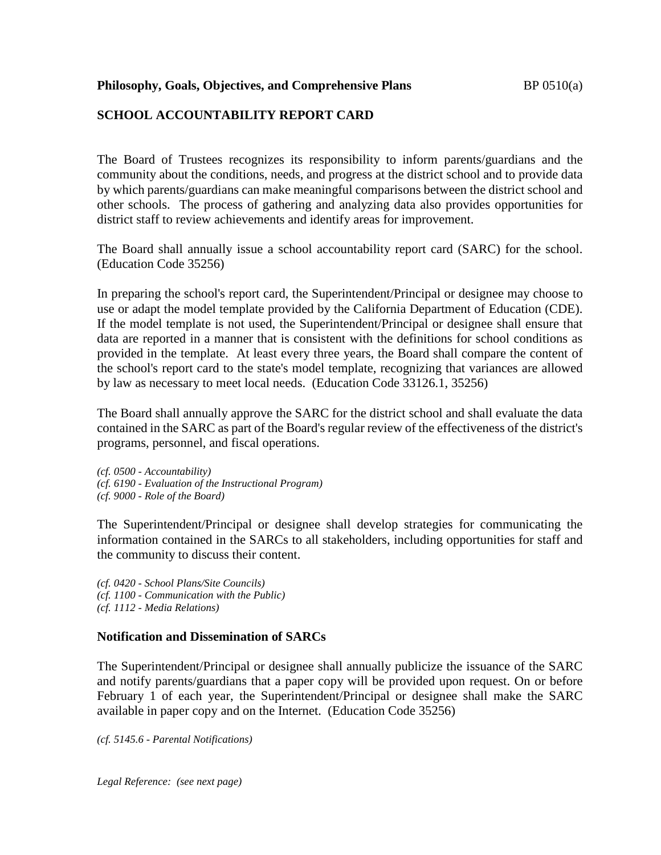# **SCHOOL ACCOUNTABILITY REPORT CARD**

The Board of Trustees recognizes its responsibility to inform parents/guardians and the community about the conditions, needs, and progress at the district school and to provide data by which parents/guardians can make meaningful comparisons between the district school and other schools. The process of gathering and analyzing data also provides opportunities for district staff to review achievements and identify areas for improvement.

The Board shall annually issue a school accountability report card (SARC) for the school. (Education Code 35256)

In preparing the school's report card, the Superintendent/Principal or designee may choose to use or adapt the model template provided by the California Department of Education (CDE). If the model template is not used, the Superintendent/Principal or designee shall ensure that data are reported in a manner that is consistent with the definitions for school conditions as provided in the template. At least every three years, the Board shall compare the content of the school's report card to the state's model template, recognizing that variances are allowed by law as necessary to meet local needs. (Education Code 33126.1, 35256)

The Board shall annually approve the SARC for the district school and shall evaluate the data contained in the SARC as part of the Board's regular review of the effectiveness of the district's programs, personnel, and fiscal operations.

*(cf. 0500 - Accountability) (cf. 6190 - Evaluation of the Instructional Program) (cf. 9000 - Role of the Board)*

The Superintendent/Principal or designee shall develop strategies for communicating the information contained in the SARCs to all stakeholders, including opportunities for staff and the community to discuss their content.

*(cf. 0420 - School Plans/Site Councils) (cf. 1100 - Communication with the Public) (cf. 1112 - Media Relations)*

## **Notification and Dissemination of SARCs**

The Superintendent/Principal or designee shall annually publicize the issuance of the SARC and notify parents/guardians that a paper copy will be provided upon request. On or before February 1 of each year, the Superintendent/Principal or designee shall make the SARC available in paper copy and on the Internet. (Education Code 35256)

*(cf. 5145.6 - Parental Notifications)*

*Legal Reference: (see next page)*